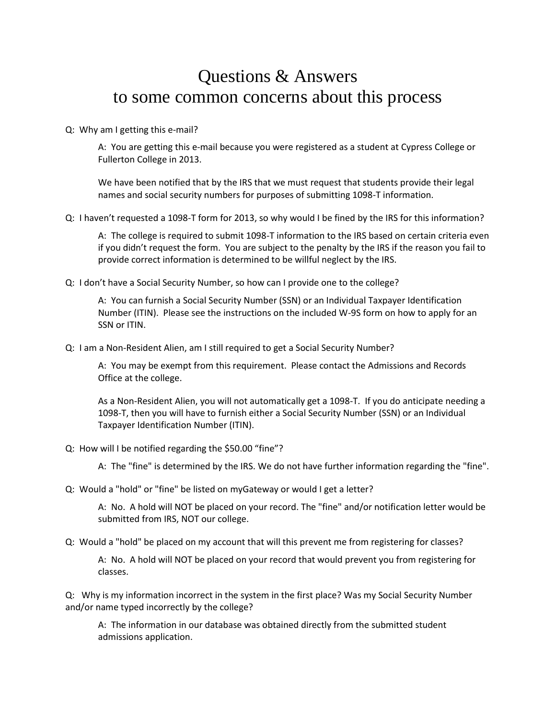## Questions & Answers to some common concerns about this process

Q: Why am I getting this e-mail?

A: You are getting this e-mail because you were registered as a student at Cypress College or Fullerton College in 2013.

We have been notified that by the IRS that we must request that students provide their legal names and social security numbers for purposes of submitting 1098-T information.

Q: I haven't requested a 1098-T form for 2013, so why would I be fined by the IRS for this information?

A: The college is required to submit 1098-T information to the IRS based on certain criteria even if you didn't request the form. You are subject to the penalty by the IRS if the reason you fail to provide correct information is determined to be willful neglect by the IRS.

Q: I don't have a Social Security Number, so how can I provide one to the college?

A: You can furnish a Social Security Number (SSN) or an Individual Taxpayer Identification Number (ITIN). Please see the instructions on the included W-9S form on how to apply for an SSN or ITIN.

Q: I am a Non-Resident Alien, am I still required to get a Social Security Number?

A: You may be exempt from this requirement. Please contact the Admissions and Records Office at the college.

As a Non-Resident Alien, you will not automatically get a 1098-T. If you do anticipate needing a 1098-T, then you will have to furnish either a Social Security Number (SSN) or an Individual Taxpayer Identification Number (ITIN).

Q: How will I be notified regarding the \$50.00 "fine"?

A: The "fine" is determined by the IRS. We do not have further information regarding the "fine".

Q: Would a "hold" or "fine" be listed on myGateway or would I get a letter?

A: No. A hold will NOT be placed on your record. The "fine" and/or notification letter would be submitted from IRS, NOT our college.

Q: Would a "hold" be placed on my account that will this prevent me from registering for classes?

A: No. A hold will NOT be placed on your record that would prevent you from registering for classes.

Q: Why is my information incorrect in the system in the first place? Was my Social Security Number and/or name typed incorrectly by the college?

A: The information in our database was obtained directly from the submitted student admissions application.